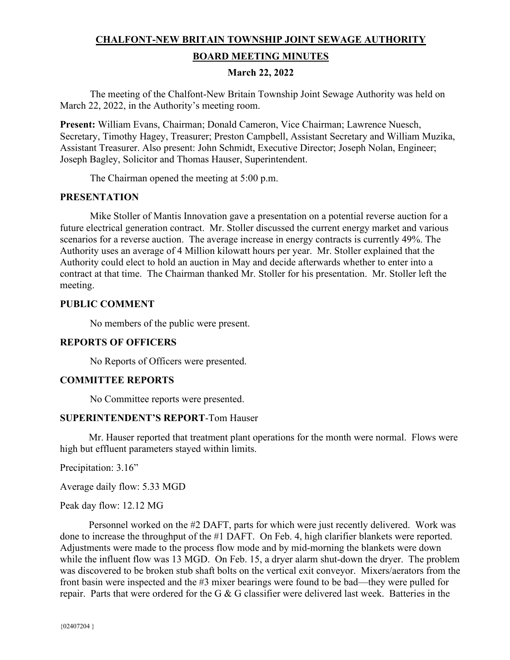# **CHALFONT-NEW BRITAIN TOWNSHIP JOINT SEWAGE AUTHORITY BOARD MEETING MINUTES**

#### **March 22, 2022**

The meeting of the Chalfont-New Britain Township Joint Sewage Authority was held on March 22, 2022, in the Authority's meeting room.

**Present:** William Evans, Chairman; Donald Cameron, Vice Chairman; Lawrence Nuesch, Secretary, Timothy Hagey, Treasurer; Preston Campbell, Assistant Secretary and William Muzika, Assistant Treasurer. Also present: John Schmidt, Executive Director; Joseph Nolan, Engineer; Joseph Bagley, Solicitor and Thomas Hauser, Superintendent.

The Chairman opened the meeting at 5:00 p.m.

#### **PRESENTATION**

Mike Stoller of Mantis Innovation gave a presentation on a potential reverse auction for a future electrical generation contract. Mr. Stoller discussed the current energy market and various scenarios for a reverse auction. The average increase in energy contracts is currently 49%. The Authority uses an average of 4 Million kilowatt hours per year. Mr. Stoller explained that the Authority could elect to hold an auction in May and decide afterwards whether to enter into a contract at that time. The Chairman thanked Mr. Stoller for his presentation. Mr. Stoller left the meeting.

#### **PUBLIC COMMENT**

No members of the public were present.

#### **REPORTS OF OFFICERS**

No Reports of Officers were presented.

#### **COMMITTEE REPORTS**

No Committee reports were presented.

#### **SUPERINTENDENT'S REPORT**-Tom Hauser

Mr. Hauser reported that treatment plant operations for the month were normal. Flows were high but effluent parameters stayed within limits.

Precipitation: 3.16"

Average daily flow: 5.33 MGD

Peak day flow: 12.12 MG

 Personnel worked on the #2 DAFT, parts for which were just recently delivered. Work was done to increase the throughput of the #1 DAFT. On Feb. 4, high clarifier blankets were reported. Adjustments were made to the process flow mode and by mid-morning the blankets were down while the influent flow was 13 MGD. On Feb. 15, a dryer alarm shut-down the dryer. The problem was discovered to be broken stub shaft bolts on the vertical exit conveyor. Mixers/aerators from the front basin were inspected and the #3 mixer bearings were found to be bad—they were pulled for repair. Parts that were ordered for the G & G classifier were delivered last week. Batteries in the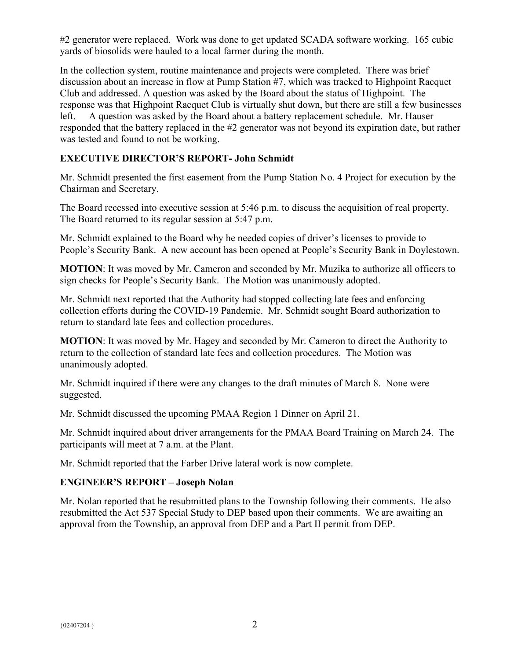#2 generator were replaced. Work was done to get updated SCADA software working. 165 cubic yards of biosolids were hauled to a local farmer during the month.

In the collection system, routine maintenance and projects were completed. There was brief discussion about an increase in flow at Pump Station #7, which was tracked to Highpoint Racquet Club and addressed. A question was asked by the Board about the status of Highpoint. The response was that Highpoint Racquet Club is virtually shut down, but there are still a few businesses left. A question was asked by the Board about a battery replacement schedule. Mr. Hauser responded that the battery replaced in the #2 generator was not beyond its expiration date, but rather was tested and found to not be working.

# **EXECUTIVE DIRECTOR'S REPORT- John Schmidt**

Mr. Schmidt presented the first easement from the Pump Station No. 4 Project for execution by the Chairman and Secretary.

The Board recessed into executive session at 5:46 p.m. to discuss the acquisition of real property. The Board returned to its regular session at 5:47 p.m.

Mr. Schmidt explained to the Board why he needed copies of driver's licenses to provide to People's Security Bank. A new account has been opened at People's Security Bank in Doylestown.

**MOTION**: It was moved by Mr. Cameron and seconded by Mr. Muzika to authorize all officers to sign checks for People's Security Bank. The Motion was unanimously adopted.

Mr. Schmidt next reported that the Authority had stopped collecting late fees and enforcing collection efforts during the COVID-19 Pandemic. Mr. Schmidt sought Board authorization to return to standard late fees and collection procedures.

**MOTION**: It was moved by Mr. Hagey and seconded by Mr. Cameron to direct the Authority to return to the collection of standard late fees and collection procedures. The Motion was unanimously adopted.

Mr. Schmidt inquired if there were any changes to the draft minutes of March 8. None were suggested.

Mr. Schmidt discussed the upcoming PMAA Region 1 Dinner on April 21.

Mr. Schmidt inquired about driver arrangements for the PMAA Board Training on March 24. The participants will meet at 7 a.m. at the Plant.

Mr. Schmidt reported that the Farber Drive lateral work is now complete.

#### **ENGINEER'S REPORT – Joseph Nolan**

Mr. Nolan reported that he resubmitted plans to the Township following their comments. He also resubmitted the Act 537 Special Study to DEP based upon their comments. We are awaiting an approval from the Township, an approval from DEP and a Part II permit from DEP.